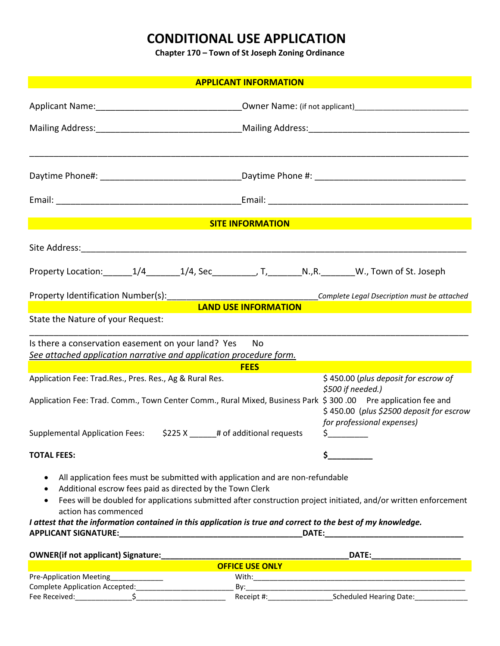# **CONDITIONAL USE APPLICATION**

**Chapter 170 – Town of St Joseph Zoning Ordinance**

| <b>APPLICANT INFORMATION</b>                                                                                 |                                                                                                                                     |  |  |  |
|--------------------------------------------------------------------------------------------------------------|-------------------------------------------------------------------------------------------------------------------------------------|--|--|--|
|                                                                                                              |                                                                                                                                     |  |  |  |
|                                                                                                              |                                                                                                                                     |  |  |  |
|                                                                                                              |                                                                                                                                     |  |  |  |
|                                                                                                              |                                                                                                                                     |  |  |  |
|                                                                                                              |                                                                                                                                     |  |  |  |
|                                                                                                              |                                                                                                                                     |  |  |  |
|                                                                                                              |                                                                                                                                     |  |  |  |
|                                                                                                              | <b>SITE INFORMATION</b>                                                                                                             |  |  |  |
|                                                                                                              |                                                                                                                                     |  |  |  |
|                                                                                                              | Property Location: ________1/4________1/4, Sec___________, T, __________N.,R. ________W., Town of St. Joseph                        |  |  |  |
|                                                                                                              |                                                                                                                                     |  |  |  |
|                                                                                                              |                                                                                                                                     |  |  |  |
| State the Nature of your Request:                                                                            | <b>LAND USE INFORMATION</b>                                                                                                         |  |  |  |
|                                                                                                              |                                                                                                                                     |  |  |  |
| Is there a conservation easement on your land? Yes                                                           | No                                                                                                                                  |  |  |  |
| See attached application narrative and application procedure form.                                           | <b>FEES</b>                                                                                                                         |  |  |  |
| Application Fee: Trad.Res., Pres. Res., Ag & Rural Res.                                                      | \$450.00 (plus deposit for escrow of                                                                                                |  |  |  |
|                                                                                                              | \$500 if needed.)<br>Application Fee: Trad. Comm., Town Center Comm., Rural Mixed, Business Park \$ 300 .00 Pre application fee and |  |  |  |
|                                                                                                              | \$450.00 (plus \$2500 deposit for escrow                                                                                            |  |  |  |
|                                                                                                              | for professional expenses)                                                                                                          |  |  |  |
| \$225 X $-$<br><b>Supplemental Application Fees:</b>                                                         | \$_<br># of additional requests                                                                                                     |  |  |  |
| <b>TOTAL FEES:</b>                                                                                           | \$.                                                                                                                                 |  |  |  |
| All application fees must be submitted with application and are non-refundable<br>$\bullet$                  |                                                                                                                                     |  |  |  |
| Additional escrow fees paid as directed by the Town Clerk<br>$\bullet$                                       |                                                                                                                                     |  |  |  |
| $\bullet$<br>action has commenced                                                                            | Fees will be doubled for applications submitted after construction project initiated, and/or written enforcement                    |  |  |  |
| I attest that the information contained in this application is true and correct to the best of my knowledge. |                                                                                                                                     |  |  |  |
|                                                                                                              |                                                                                                                                     |  |  |  |
|                                                                                                              |                                                                                                                                     |  |  |  |
| <b>OFFICE USE ONLY</b><br><u> 1980 - Johann Barn, amerikansk politiker (</u>                                 |                                                                                                                                     |  |  |  |
| Pre-Application Meeting______________                                                                        |                                                                                                                                     |  |  |  |
|                                                                                                              | Receipt #: Scheduled Hearing Date:                                                                                                  |  |  |  |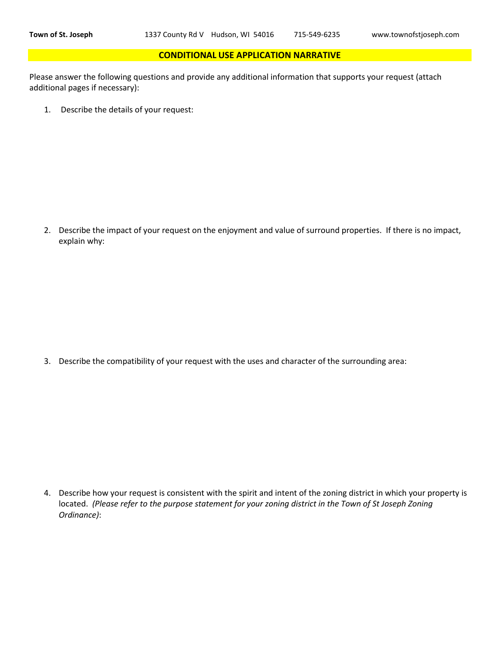#### **CONDITIONAL USE APPLICATION NARRATIVE**

Please answer the following questions and provide any additional information that supports your request (attach additional pages if necessary):

1. Describe the details of your request:

2. Describe the impact of your request on the enjoyment and value of surround properties. If there is no impact, explain why:

3. Describe the compatibility of your request with the uses and character of the surrounding area:

4. Describe how your request is consistent with the spirit and intent of the zoning district in which your property is located. *(Please refer to the purpose statement for your zoning district in the Town of St Joseph Zoning Ordinance)*: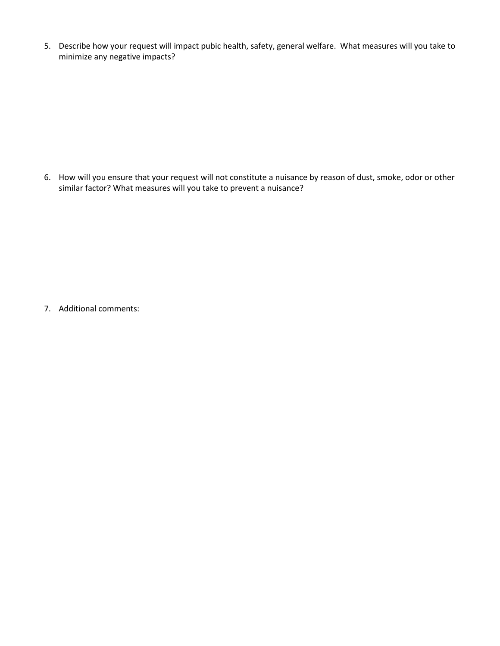5. Describe how your request will impact pubic health, safety, general welfare. What measures will you take to minimize any negative impacts?

6. How will you ensure that your request will not constitute a nuisance by reason of dust, smoke, odor or other similar factor? What measures will you take to prevent a nuisance?

7. Additional comments: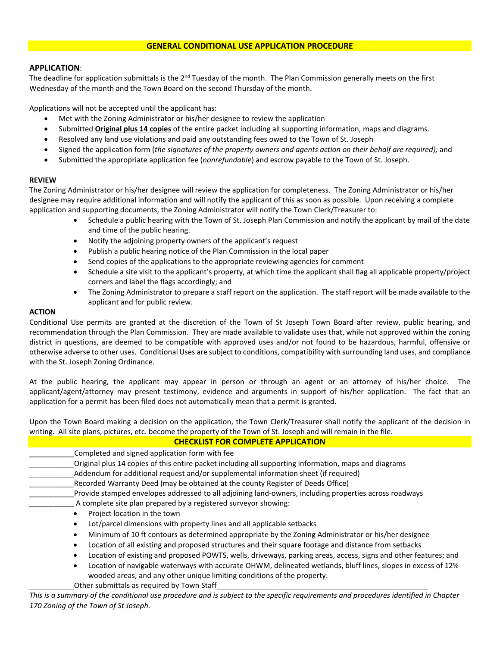### **APPLICATION**:

The deadline for application submittals is the  $2^{nd}$  Tuesday of the month. The Plan Commission generally meets on the first Wednesday of the month and the Town Board on the second Thursday of the month.

Applications will not be accepted until the applicant has:

- Met with the Zoning Administrator or his/her designee to review the application
- Submitted **Original plus 14 copies** of the entire packet including all supporting information, maps and diagrams.
- Resolved any land use violations and paid any outstanding fees owed to the Town of St. Joseph
- Signed the application form (*the signatures of the property owners and agents action on their behalf are required);* and
- Submitted the appropriate application fee (*nonrefundable*) and escrow payable to the Town of St. Joseph.

#### **REVIEW**

The Zoning Administrator or his/her designee will review the application for completeness. The Zoning Administrator or his/her designee may require additional information and will notify the applicant of this as soon as possible. Upon receiving a complete application and supporting documents, the Zoning Administrator will notify the Town Clerk/Treasurer to:

- Schedule a public hearing with the Town of St. Joseph Plan Commission and notify the applicant by mail of the date and time of the public hearing.
- Notify the adjoining property owners of the applicant's request
- Publish a public hearing notice of the Plan Commission in the local paper
- Send copies of the applications to the appropriate reviewing agencies for comment
- Schedule a site visit to the applicant's property, at which time the applicant shall flag all applicable property/project corners and label the flags accordingly; and
- The Zoning Administrator to prepare a staff report on the application. The staff report will be made available to the applicant and for public review.

#### **ACTION**

Conditional Use permits are granted at the discretion of the Town of St Joseph Town Board after review, public hearing, and recommendation through the Plan Commission. They are made available to validate uses that, while not approved within the zoning district in questions, are deemed to be compatible with approved uses and/or not found to be hazardous, harmful, offensive or otherwise adverse to other uses. Conditional Uses are subject to conditions, compatibility with surrounding land uses, and compliance with the St. Joseph Zoning Ordinance.

At the public hearing, the applicant may appear in person or through an agent or an attorney of his/her choice. The applicant/agent/attorney may present testimony, evidence and arguments in support of his/her application. The fact that an application for a permit has been filed does not automatically mean that a permit is granted.

Upon the Town Board making a decision on the application, the Town Clerk/Treasurer shall notify the applicant of the decision in writing. All site plans, pictures, etc. become the property of the Town of St. Joseph and will remain in the file.

|  |                                                   | <b>CHECKLIST FOR COMPLETE APPLICATION</b> |  |
|--|---------------------------------------------------|-------------------------------------------|--|
|  | Considered and simple and similar forms with fax. |                                           |  |

| Completed and signed application form with ree-                                                                                                                                               |
|-----------------------------------------------------------------------------------------------------------------------------------------------------------------------------------------------|
| Original plus 14 copies of this entire packet including all supporting information, maps and diagrams                                                                                         |
| Addendum for additional request and/or supplemental information sheet (if required)                                                                                                           |
| Recorded Warranty Deed (may be obtained at the county Register of Deeds Office)                                                                                                               |
| Provide stamped envelopes addressed to all adjoining land-owners, including properties across roadways                                                                                        |
| A complete site plan prepared by a registered surveyor showing:                                                                                                                               |
| Project location in the town                                                                                                                                                                  |
| Lot/parcel dimensions with property lines and all applicable setbacks                                                                                                                         |
| Minimum of 10 ft contours as determined appropriate by the Zoning Administrator or his/her designee                                                                                           |
| Location of all existing and proposed structures and their square footage and distance from setbacks                                                                                          |
| Location of existing and proposed POWTS, wells, driveways, parking areas, access, signs and other features; and<br>$\bullet$                                                                  |
| Location of navigable waterways with accurate OHWM, delineated wetlands, bluff lines, slopes in excess of 12%<br>٠<br>wooded areas, and any other unique limiting conditions of the property. |
| Other submittals as required by Town Staff                                                                                                                                                    |

*This is a summary of the conditional use procedure and is subject to the specific requirements and procedures identified in Chapter 170 Zoning of the Town of St Joseph.*